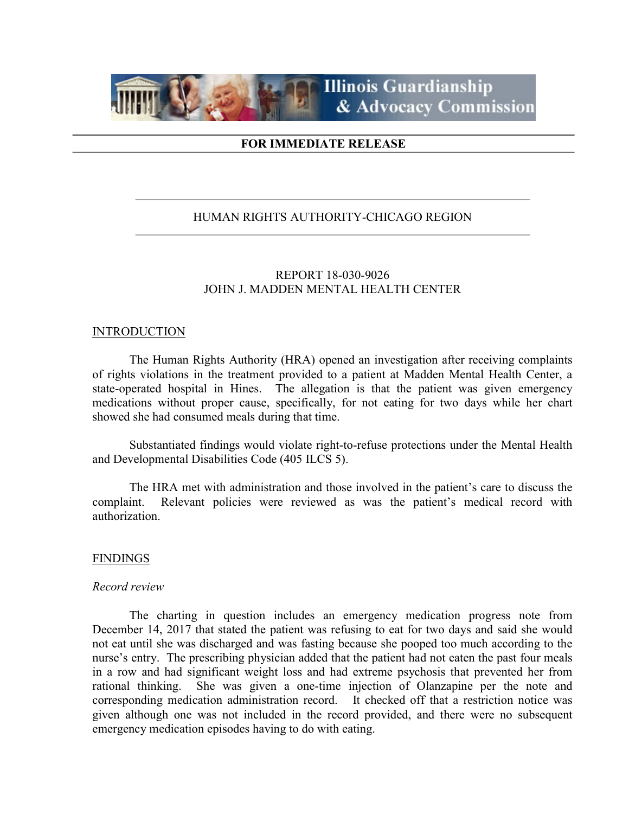

## FOR IMMEDIATE RELEASE

## HUMAN RIGHTS AUTHORITY-CHICAGO REGION

## REPORT 18-030-9026 JOHN J. MADDEN MENTAL HEALTH CENTER

### **INTRODUCTION**

 The Human Rights Authority (HRA) opened an investigation after receiving complaints of rights violations in the treatment provided to a patient at Madden Mental Health Center, a state-operated hospital in Hines. The allegation is that the patient was given emergency medications without proper cause, specifically, for not eating for two days while her chart showed she had consumed meals during that time.

Substantiated findings would violate right-to-refuse protections under the Mental Health and Developmental Disabilities Code (405 ILCS 5).

The HRA met with administration and those involved in the patient's care to discuss the complaint. Relevant policies were reviewed as was the patient's medical record with authorization.

### **FINDINGS**

#### Record review

The charting in question includes an emergency medication progress note from December 14, 2017 that stated the patient was refusing to eat for two days and said she would not eat until she was discharged and was fasting because she pooped too much according to the nurse's entry. The prescribing physician added that the patient had not eaten the past four meals in a row and had significant weight loss and had extreme psychosis that prevented her from rational thinking. She was given a one-time injection of Olanzapine per the note and corresponding medication administration record. It checked off that a restriction notice was given although one was not included in the record provided, and there were no subsequent emergency medication episodes having to do with eating.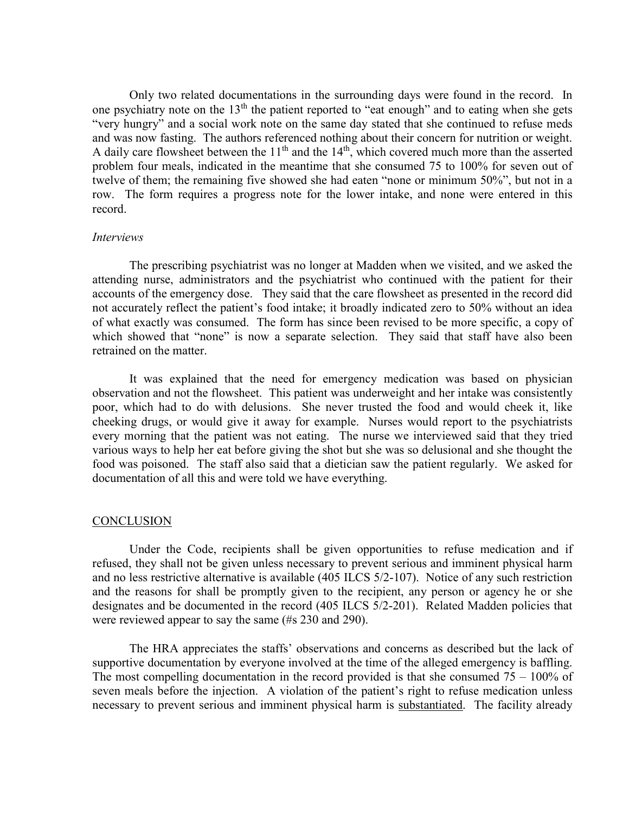Only two related documentations in the surrounding days were found in the record. In one psychiatry note on the  $13<sup>th</sup>$  the patient reported to "eat enough" and to eating when she gets "very hungry" and a social work note on the same day stated that she continued to refuse meds and was now fasting. The authors referenced nothing about their concern for nutrition or weight. A daily care flowsheet between the  $11<sup>th</sup>$  and the  $14<sup>th</sup>$ , which covered much more than the asserted problem four meals, indicated in the meantime that she consumed 75 to 100% for seven out of twelve of them; the remaining five showed she had eaten "none or minimum 50%", but not in a row. The form requires a progress note for the lower intake, and none were entered in this record.

### Interviews

 The prescribing psychiatrist was no longer at Madden when we visited, and we asked the attending nurse, administrators and the psychiatrist who continued with the patient for their accounts of the emergency dose. They said that the care flowsheet as presented in the record did not accurately reflect the patient's food intake; it broadly indicated zero to 50% without an idea of what exactly was consumed. The form has since been revised to be more specific, a copy of which showed that "none" is now a separate selection. They said that staff have also been retrained on the matter.

 It was explained that the need for emergency medication was based on physician observation and not the flowsheet. This patient was underweight and her intake was consistently poor, which had to do with delusions. She never trusted the food and would cheek it, like cheeking drugs, or would give it away for example. Nurses would report to the psychiatrists every morning that the patient was not eating. The nurse we interviewed said that they tried various ways to help her eat before giving the shot but she was so delusional and she thought the food was poisoned. The staff also said that a dietician saw the patient regularly. We asked for documentation of all this and were told we have everything.

#### **CONCLUSION**

 Under the Code, recipients shall be given opportunities to refuse medication and if refused, they shall not be given unless necessary to prevent serious and imminent physical harm and no less restrictive alternative is available (405 ILCS 5/2-107). Notice of any such restriction and the reasons for shall be promptly given to the recipient, any person or agency he or she designates and be documented in the record (405 ILCS 5/2-201). Related Madden policies that were reviewed appear to say the same (#s 230 and 290).

The HRA appreciates the staffs' observations and concerns as described but the lack of supportive documentation by everyone involved at the time of the alleged emergency is baffling. The most compelling documentation in the record provided is that she consumed  $75 - 100\%$  of seven meals before the injection. A violation of the patient's right to refuse medication unless necessary to prevent serious and imminent physical harm is substantiated. The facility already